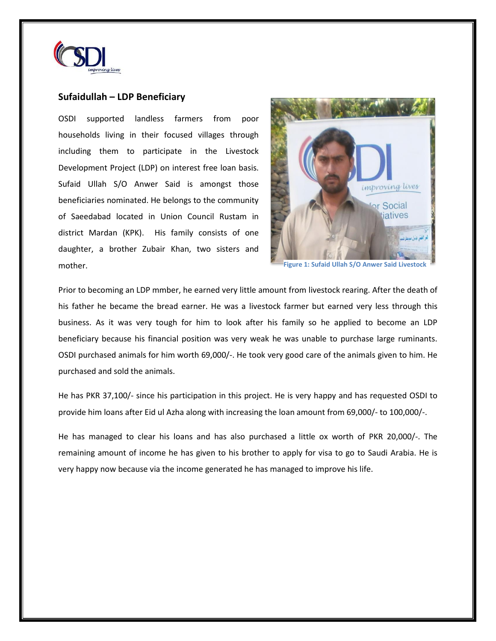

## **Sufaidullah – LDP Beneficiary**

OSDI supported landless farmers from poor households living in their focused villages through including them to participate in the Livestock Development Project (LDP) on interest free loan basis. Sufaid Ullah S/O Anwer Said is amongst those beneficiaries nominated. He belongs to the community of Saeedabad located in Union Council Rustam in district Mardan (KPK). His family consists of one daughter, a brother Zubair Khan, two sisters and mother.



**Figure 1: Sufaid Ullah S/O Anwer Said Livestock** 

Prior to becoming an LDP mmber, he earned very little amount from livestock rearing. After the death of his father he became the bread earner. He was a livestock farmer but earned very less through this business. As it was very tough for him to look after his family so he applied to become an LDP beneficiary because his financial position was very weak he was unable to purchase large ruminants. OSDI purchased animals for him worth 69,000/-. He took very good care of the animals given to him. He purchased and sold the animals.

He has PKR 37,100/- since his participation in this project. He is very happy and has requested OSDI to provide him loans after Eid ul Azha along with increasing the loan amount from 69,000/- to 100,000/-.

He has managed to clear his loans and has also purchased a little ox worth of PKR 20,000/-. The remaining amount of income he has given to his brother to apply for visa to go to Saudi Arabia. He is very happy now because via the income generated he has managed to improve his life.